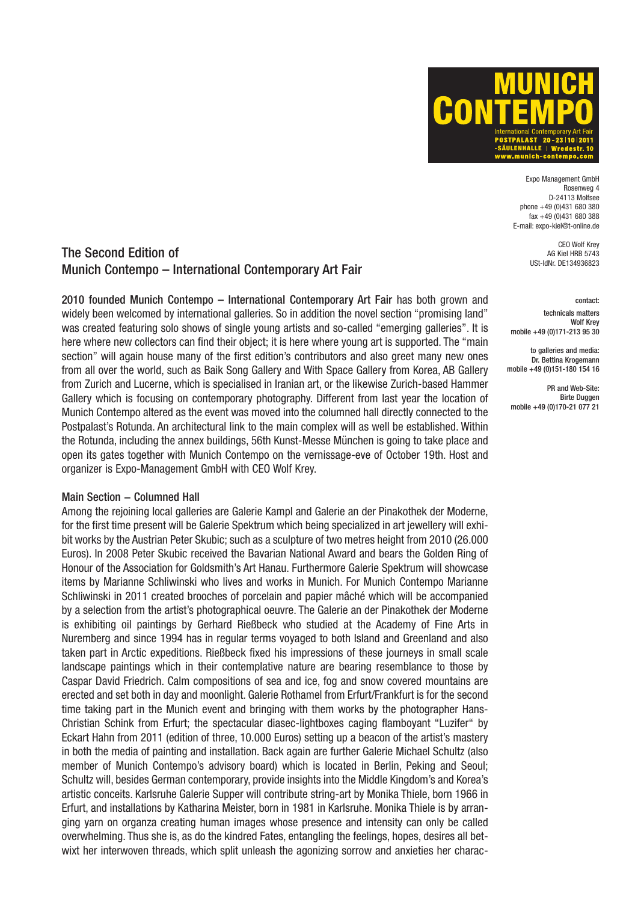

Expo Management GmbH Rosenweg 4 D-24113 Molfsee phone +49 (0)431 680 380 fax +49 (0)431 680 388 E-mail: expo-kiel@t-online.de

> CEO Wolf Krey AG Kiel HRB 5743 USt-IdNr. DE134936823

> > contact:

technicals matters Wolf Krey mobile +49 (0)171-213 95 30

to galleries and media: Dr. Bettina Krogemann mobile +49 (0)151-180 154 16

PR and Web-Site: Birte Duggen mobile +49 (0)170-21 077 21

# The Second Edition of Munich Contempo – International Contemporary Art Fair

2010 founded Munich Contempo – International Contemporary Art Fair has both grown and widely been welcomed by international galleries. So in addition the novel section "promising land" was created featuring solo shows of single young artists and so-called "emerging galleries". It is here where new collectors can find their object; it is here where young art is supported. The "main section" will again house many of the first edition's contributors and also greet many new ones from all over the world, such as Baik Song Gallery and With Space Gallery from Korea, AB Gallery from Zurich and Lucerne, which is specialised in Iranian art, or the likewise Zurich-based Hammer Gallery which is focusing on contemporary photography. Different from last year the location of Munich Contempo altered as the event was moved into the columned hall directly connected to the Postpalast's Rotunda. An architectural link to the main complex will as well be established. Within the Rotunda, including the annex buildings, 56th Kunst-Messe München is going to take place and open its gates together with Munich Contempo on the vernissage-eve of October 19th. Host and organizer is Expo-Management GmbH with CEO Wolf Krey.

# Main Section - Columned Hall

Among the rejoining local galleries are Galerie Kampl and Galerie an der Pinakothek der Moderne, for the first time present will be Galerie Spektrum which being specialized in art jewellery will exhibit works by the Austrian Peter Skubic; such as a sculpture of two metres height from 2010 (26.000 Euros). In 2008 Peter Skubic received the Bavarian National Award and bears the Golden Ring of Honour of the Association for Goldsmith's Art Hanau. Furthermore Galerie Spektrum will showcase items by Marianne Schliwinski who lives and works in Munich. For Munich Contempo Marianne Schliwinski in 2011 created brooches of porcelain and papier mâché which will be accompanied by a selection from the artist's photographical oeuvre. The Galerie an der Pinakothek der Moderne is exhibiting oil paintings by Gerhard Rießbeck who studied at the Academy of Fine Arts in Nuremberg and since 1994 has in regular terms voyaged to both Island and Greenland and also taken part in Arctic expeditions. Rießbeck fixed his impressions of these journeys in small scale landscape paintings which in their contemplative nature are bearing resemblance to those by Caspar David Friedrich. Calm compositions of sea and ice, fog and snow covered mountains are erected and set both in day and moonlight. Galerie Rothamel from Erfurt/Frankfurt is for the second time taking part in the Munich event and bringing with them works by the photographer Hans-Christian Schink from Erfurt; the spectacular diasec-lightboxes caging flamboyant "Luzifer" by Eckart Hahn from 2011 (edition of three, 10.000 Euros) setting up a beacon of the artist's mastery in both the media of painting and installation. Back again are further Galerie Michael Schultz (also member of Munich Contempo's advisory board) which is located in Berlin, Peking and Seoul; Schultz will, besides German contemporary, provide insights into the Middle Kingdom's and Korea's artistic conceits. Karlsruhe Galerie Supper will contribute string-art by Monika Thiele, born 1966 in Erfurt, and installations by Katharina Meister, born in 1981 in Karlsruhe. Monika Thiele is by arranging yarn on organza creating human images whose presence and intensity can only be called overwhelming. Thus she is, as do the kindred Fates, entangling the feelings, hopes, desires all betwixt her interwoven threads, which split unleash the agonizing sorrow and anxieties her charac-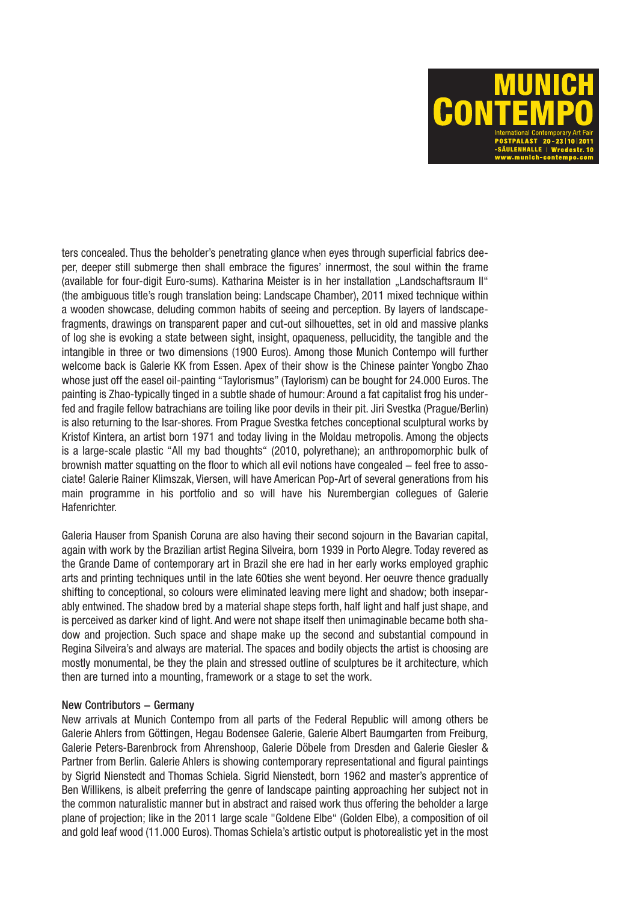

ters concealed. Thus the beholder's penetrating glance when eyes through superficial fabrics deeper, deeper still submerge then shall embrace the figures' innermost, the soul within the frame (available for four-digit Euro-sums). Katharina Meister is in her installation "Landschaftsraum II" (the ambiguous title's rough translation being: Landscape Chamber), 2011 mixed technique within a wooden showcase, deluding common habits of seeing and perception. By layers of landscapefragments, drawings on transparent paper and cut-out silhouettes, set in old and massive planks of log she is evoking a state between sight, insight, opaqueness, pellucidity, the tangible and the intangible in three or two dimensions (1900 Euros). Among those Munich Contempo will further welcome back is Galerie KK from Essen. Apex of their show is the Chinese painter Yongbo Zhao whose just off the easel oil-painting "Taylorismus" (Taylorism) can be bought for 24.000 Euros. The painting is Zhao-typically tinged in a subtle shade of humour: Around a fat capitalist frog his underfed and fragile fellow batrachians are toiling like poor devils in their pit. Jiri Svestka (Prague/Berlin) is also returning to the Isar-shores. From Prague Svestka fetches conceptional sculptural works by Kristof Kintera, an artist born 1971 and today living in the Moldau metropolis. Among the objects is a large-scale plastic "All my bad thoughts" (2010, polyrethane); an anthropomorphic bulk of brownish matter squatting on the floor to which all evil notions have congealed − feel free to associate! Galerie Rainer Klimszak, Viersen, will have American Pop-Art of several generations from his main programme in his portfolio and so will have his Nurembergian collegues of Galerie Hafenrichter.

Galeria Hauser from Spanish Coruna are also having their second sojourn in the Bavarian capital, again with work by the Brazilian artist Regina Silveira, born 1939 in Porto Alegre. Today revered as the Grande Dame of contemporary art in Brazil she ere had in her early works employed graphic arts and printing techniques until in the late 60ties she went beyond. Her oeuvre thence gradually shifting to conceptional, so colours were eliminated leaving mere light and shadow; both inseparably entwined. The shadow bred by a material shape steps forth, half light and half just shape, and is perceived as darker kind of light. And were not shape itself then unimaginable became both shadow and projection. Such space and shape make up the second and substantial compound in Regina Silveira's and always are material. The spaces and bodily objects the artist is choosing are mostly monumental, be they the plain and stressed outline of sculptures be it architecture, which then are turned into a mounting, framework or a stage to set the work.

# New Contributors – Germany

New arrivals at Munich Contempo from all parts of the Federal Republic will among others be Galerie Ahlers from Göttingen, Hegau Bodensee Galerie, Galerie Albert Baumgarten from Freiburg, Galerie Peters-Barenbrock from Ahrenshoop, Galerie Döbele from Dresden and Galerie Giesler & Partner from Berlin. Galerie Ahlers is showing contemporary representational and figural paintings by Sigrid Nienstedt and Thomas Schiela. Sigrid Nienstedt, born 1962 and master's apprentice of Ben Willikens, is albeit preferring the genre of landscape painting approaching her subject not in the common naturalistic manner but in abstract and raised work thus offering the beholder a large plane of projection; like in the 2011 large scale "Goldene Elbe" (Golden Elbe), a composition of oil and gold leaf wood (11.000 Euros). Thomas Schiela's artistic output is photorealistic yet in the most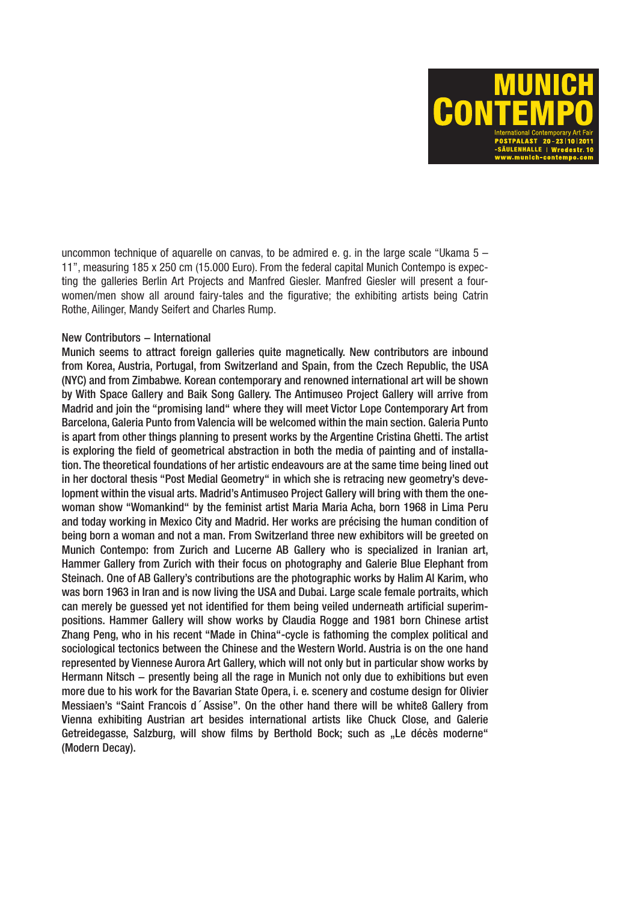

uncommon technique of aquarelle on canvas, to be admired e. g. in the large scale "Ukama  $5 -$ 11", measuring 185 x 250 cm (15.000 Euro). From the federal capital Munich Contempo is expecting the galleries Berlin Art Projects and Manfred Giesler. Manfred Giesler will present a fourwomen/men show all around fairy-tales and the figurative; the exhibiting artists being Catrin Rothe, Ailinger, Mandy Seifert and Charles Rump.

### New Contributors – International

Munich seems to attract foreign galleries quite magnetically. New contributors are inbound from Korea, Austria, Portugal, from Switzerland and Spain, from the Czech Republic, the USA (NYC) and from Zimbabwe. Korean contemporary and renowned international art will be shown by With Space Gallery and Baik Song Gallery. The Antimuseo Project Gallery will arrive from Madrid and join the "promising land" where they will meet Victor Lope Contemporary Art from Barcelona, Galeria Punto from Valencia will be welcomed within the main section. Galeria Punto is apart from other things planning to present works by the Argentine Cristina Ghetti. The artist is exploring the field of geometrical abstraction in both the media of painting and of installation. The theoretical foundations of her artistic endeavours are at the same time being lined out in her doctoral thesis "Post Medial Geometry" in which she is retracing new geometry's development within the visual arts. Madrid's Antimuseo Project Gallery will bring with them the onewoman show "Womankind" by the feminist artist Maria Maria Acha, born 1968 in Lima Peru and today working in Mexico City and Madrid. Her works are précising the human condition of being born a woman and not a man. From Switzerland three new exhibitors will be greeted on Munich Contempo: from Zurich and Lucerne AB Gallery who is specialized in Iranian art, Hammer Gallery from Zurich with their focus on photography and Galerie Blue Elephant from Steinach. One of AB Gallery's contributions are the photographic works by Halim Al Karim, who was born 1963 in Iran and is now living the USA and Dubai. Large scale female portraits, which can merely be guessed yet not identified for them being veiled underneath artificial superimpositions. Hammer Gallery will show works by Claudia Rogge and 1981 born Chinese artist Zhang Peng, who in his recent "Made in China"-cycle is fathoming the complex political and sociological tectonics between the Chinese and the Western World. Austria is on the one hand represented by Viennese Aurora Art Gallery, which will not only but in particular show works by Hermann Nitsch – presently being all the rage in Munich not only due to exhibitions but even more due to his work for the Bavarian State Opera, i. e. scenery and costume design for Olivier Messiaen's "Saint Francois d´Assise". On the other hand there will be white8 Gallery from Vienna exhibiting Austrian art besides international artists like Chuck Close, and Galerie Getreidegasse, Salzburg, will show films by Berthold Bock; such as ..Le décès moderne" (Modern Decay).